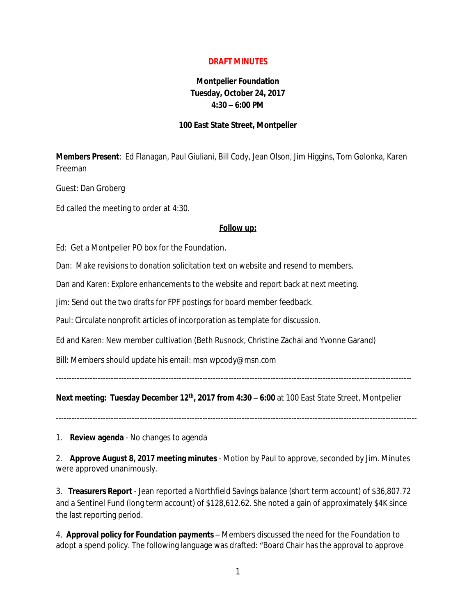## **DRAFT MINUTES**

## **Montpelier Foundation Tuesday, October 24, 2017 4:30 – 6:00 PM**

## **100 East State Street, Montpelier**

**Members Present**: Ed Flanagan, Paul Giuliani, Bill Cody, Jean Olson, Jim Higgins, Tom Golonka, Karen Freeman

Guest: Dan Groberg

Ed called the meeting to order at 4:30.

## **Follow up:**

Ed: Get a Montpelier PO box for the Foundation.

Dan: Make revisions to donation solicitation text on website and resend to members.

Dan and Karen: Explore enhancements to the website and report back at next meeting.

Jim: Send out the two drafts for FPF postings for board member feedback.

Paul: Circulate nonprofit articles of incorporation as template for discussion.

Ed and Karen: New member cultivation (Beth Rusnock, Christine Zachai and Yvonne Garand)

Bill: Members should update his email: msn wpcody@msn.com

----------------------------------------------------------------------------------------------------------------------------------------

**Next meeting: Tuesday December 12th, 2017 from 4:30 – 6:00** at 100 East State Street, Montpelier

1. **Review agenda** - No changes to agenda

2. **Approve August 8, 2017 meeting minutes** - Motion by Paul to approve, seconded by Jim. Minutes were approved unanimously.

3. **Treasurers Report** - Jean reported a Northfield Savings balance (short term account) of \$36,807.72 and a Sentinel Fund (long term account) of \$128,612.62. She noted a gain of approximately \$4K since the last reporting period.

4. **Approval policy for Foundation payments** – Members discussed the need for the Foundation to adopt a spend policy. The following language was drafted: "Board Chair has the approval to approve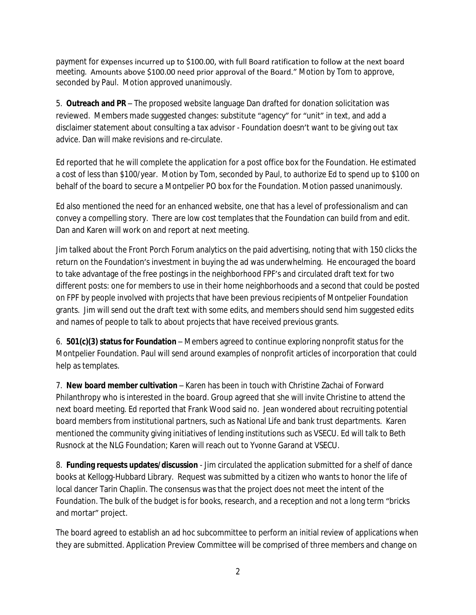payment for expenses incurred up to \$100.00, with full Board ratification to follow at the next board meeting. Amounts above \$100.00 need prior approval of the Board." Motion by Tom to approve, seconded by Paul. Motion approved unanimously.

5. **Outreach and PR** – The proposed website language Dan drafted for donation solicitation was reviewed. Members made suggested changes: substitute "agency" for "unit" in text, and add a disclaimer statement about consulting a tax advisor - Foundation doesn't want to be giving out tax advice. Dan will make revisions and re-circulate.

Ed reported that he will complete the application for a post office box for the Foundation. He estimated a cost of less than \$100/year. Motion by Tom, seconded by Paul, to authorize Ed to spend up to \$100 on behalf of the board to secure a Montpelier PO box for the Foundation. Motion passed unanimously.

Ed also mentioned the need for an enhanced website, one that has a level of professionalism and can convey a compelling story. There are low cost templates that the Foundation can build from and edit. Dan and Karen will work on and report at next meeting.

Jim talked about the Front Porch Forum analytics on the paid advertising, noting that with 150 clicks the return on the Foundation's investment in buying the ad was underwhelming. He encouraged the board to take advantage of the free postings in the neighborhood FPF's and circulated draft text for two different posts: one for members to use in their home neighborhoods and a second that could be posted on FPF by people involved with projects that have been previous recipients of Montpelier Foundation grants. Jim will send out the draft text with some edits, and members should send him suggested edits and names of people to talk to about projects that have received previous grants.

6. **501(c)(3) status for Foundation** – Members agreed to continue exploring nonprofit status for the Montpelier Foundation. Paul will send around examples of nonprofit articles of incorporation that could help as templates.

7. **New board member cultivation** – Karen has been in touch with Christine Zachai of Forward Philanthropy who is interested in the board. Group agreed that she will invite Christine to attend the next board meeting. Ed reported that Frank Wood said no. Jean wondered about recruiting potential board members from institutional partners, such as National Life and bank trust departments. Karen mentioned the community giving initiatives of lending institutions such as VSECU. Ed will talk to Beth Rusnock at the NLG Foundation; Karen will reach out to Yvonne Garand at VSECU.

8. **Funding requests updates/discussion** - Jim circulated the application submitted for a shelf of dance books at Kellogg-Hubbard Library. Request was submitted by a citizen who wants to honor the life of local dancer Tarin Chaplin. The consensus was that the project does not meet the intent of the Foundation. The bulk of the budget is for books, research, and a reception and not a long term "bricks and mortar" project.

The board agreed to establish an ad hoc subcommittee to perform an initial review of applications when they are submitted. Application Preview Committee will be comprised of three members and change on